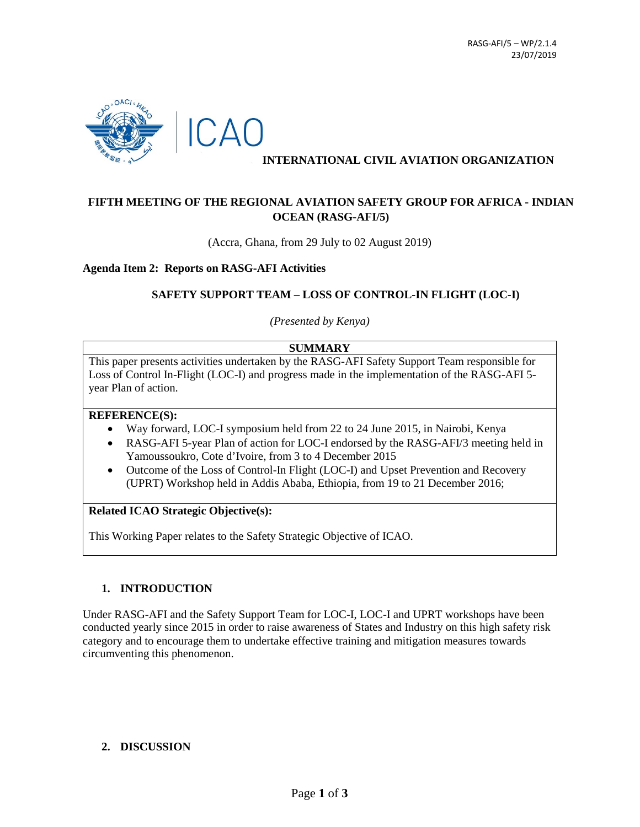

### **INTERNATIONAL CIVIL AVIATION ORGANIZATION**

# **FIFTH MEETING OF THE REGIONAL AVIATION SAFETY GROUP FOR AFRICA - INDIAN OCEAN (RASG-AFI/5)**

(Accra, Ghana, from 29 July to 02 August 2019)

**Agenda Item 2: Reports on RASG-AFI Activities**

#### **SAFETY SUPPORT TEAM – LOSS OF CONTROL-IN FLIGHT (LOC-I)**

*(Presented by Kenya)*

#### **SUMMARY**

This paper presents activities undertaken by the RASG-AFI Safety Support Team responsible for Loss of Control In-Flight (LOC-I) and progress made in the implementation of the RASG-AFI 5 year Plan of action.

#### **REFERENCE(S):**

- Way forward, LOC-I symposium held from 22 to 24 June 2015, in Nairobi, Kenya
- RASG-AFI 5-year Plan of action for LOC-I endorsed by the RASG-AFI/3 meeting held in Yamoussoukro, Cote d'Ivoire, from 3 to 4 December 2015
- Outcome of the Loss of Control-In Flight (LOC-I) and Upset Prevention and Recovery (UPRT) Workshop held in Addis Ababa, Ethiopia, from 19 to 21 December 2016;

#### **Related ICAO Strategic Objective(s):**

This Working Paper relates to the Safety Strategic Objective of ICAO.

#### **1. INTRODUCTION**

Under RASG-AFI and the Safety Support Team for LOC-I, LOC-I and UPRT workshops have been conducted yearly since 2015 in order to raise awareness of States and Industry on this high safety risk category and to encourage them to undertake effective training and mitigation measures towards circumventing this phenomenon.

## **2. DISCUSSION**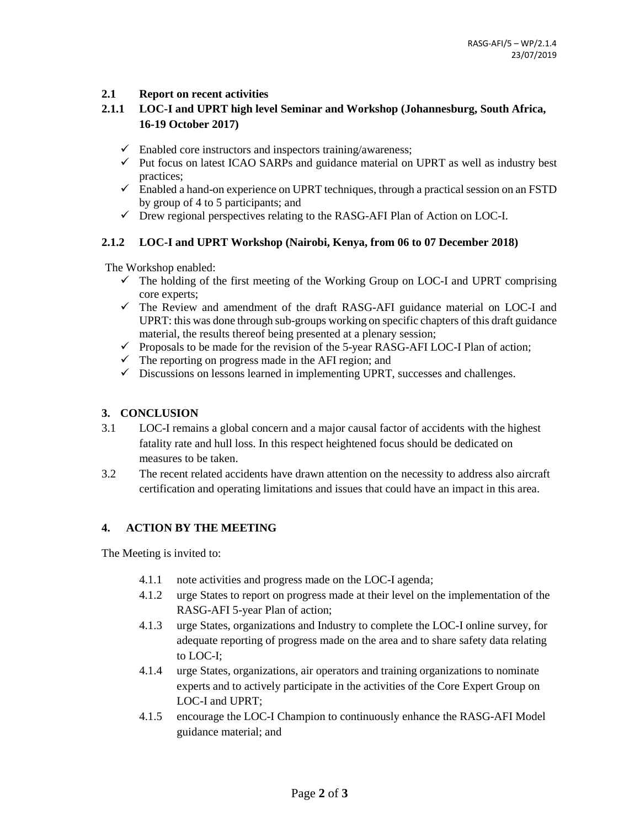## **2.1 Report on recent activities**

# **2.1.1 LOC-I and UPRT high level Seminar and Workshop (Johannesburg, South Africa, 16-19 October 2017)**

- $\checkmark$  Enabled core instructors and inspectors training/awareness;
- $\checkmark$  Put focus on latest ICAO SARPs and guidance material on UPRT as well as industry best practices;
- $\checkmark$  Enabled a hand-on experience on UPRT techniques, through a practical session on an FSTD by group of 4 to 5 participants; and
- $\checkmark$  Drew regional perspectives relating to the RASG-AFI Plan of Action on LOC-I.

#### **2.1.2 LOC-I and UPRT Workshop (Nairobi, Kenya, from 06 to 07 December 2018)**

The Workshop enabled:

- $\checkmark$  The holding of the first meeting of the Working Group on LOC-I and UPRT comprising core experts;
- $\checkmark$  The Review and amendment of the draft RASG-AFI guidance material on LOC-I and UPRT: this was done through sub-groups working on specific chapters of this draft guidance material, the results thereof being presented at a plenary session;
- $\checkmark$  Proposals to be made for the revision of the 5-year RASG-AFI LOC-I Plan of action;
- $\checkmark$  The reporting on progress made in the AFI region; and
- $\checkmark$  Discussions on lessons learned in implementing UPRT, successes and challenges.

## **3. CONCLUSION**

- 3.1 LOC-I remains a global concern and a major causal factor of accidents with the highest fatality rate and hull loss. In this respect heightened focus should be dedicated on measures to be taken.
- 3.2 The recent related accidents have drawn attention on the necessity to address also aircraft certification and operating limitations and issues that could have an impact in this area.

## **4. ACTION BY THE MEETING**

The Meeting is invited to:

- 4.1.1 note activities and progress made on the LOC-I agenda;
- 4.1.2 urge States to report on progress made at their level on the implementation of the RASG-AFI 5-year Plan of action;
- 4.1.3 urge States, organizations and Industry to complete the LOC-I online survey, for adequate reporting of progress made on the area and to share safety data relating to LOC-I;
- 4.1.4 urge States, organizations, air operators and training organizations to nominate experts and to actively participate in the activities of the Core Expert Group on LOC-I and UPRT;
- 4.1.5 encourage the LOC-I Champion to continuously enhance the RASG-AFI Model guidance material; and